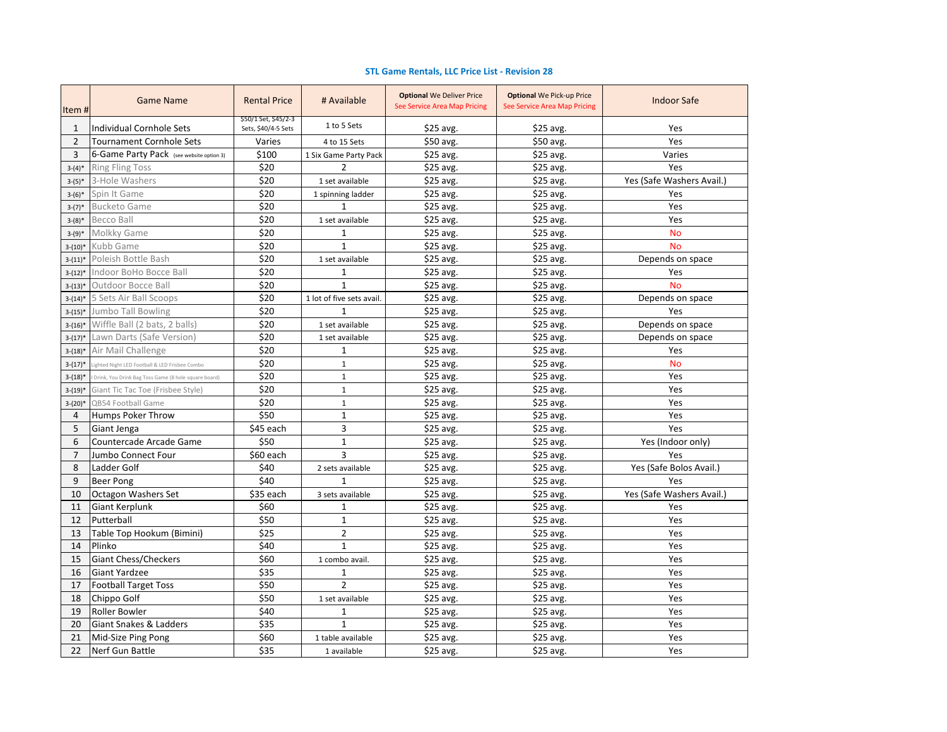## **STL Game Rentals, LLC Price List - Revision 28**

| Item#          | <b>Game Name</b>                                     | <b>Rental Price</b>                         | # Available               | <b>Optional We Deliver Price</b><br>See Service Area Map Pricing | <b>Optional We Pick-up Price</b><br>See Service Area Map Pricing | <b>Indoor Safe</b>        |
|----------------|------------------------------------------------------|---------------------------------------------|---------------------------|------------------------------------------------------------------|------------------------------------------------------------------|---------------------------|
| 1              | Individual Cornhole Sets                             | \$50/1 Set, \$45/2-3<br>Sets, \$40/4-5 Sets | 1 to 5 Sets               | $$25$ avg.                                                       | $$25$ avg.                                                       | Yes                       |
| $\overline{2}$ | <b>Tournament Cornhole Sets</b>                      | Varies                                      | 4 to 15 Sets              | \$50 avg.                                                        | \$50 avg.                                                        | Yes                       |
| 3              | 6-Game Party Pack (see website option 3)             | \$100                                       | 1 Six Game Party Pack     | $$25$ avg.                                                       | $$25$ avg.                                                       | Varies                    |
| $3-(4)*$       | <b>Ring Fling Toss</b>                               | \$20                                        | 2                         | $$25$ avg.                                                       | \$25 avg.                                                        | Yes                       |
| $3-(5)*$       | 3-Hole Washers                                       | \$20                                        | 1 set available           | $$25$ avg.                                                       | $$25$ avg.                                                       | Yes (Safe Washers Avail.) |
| $3-(6)*$       | Spin It Game                                         | \$20                                        | 1 spinning ladder         | \$25 avg.                                                        | \$25 avg.                                                        | Yes                       |
| $3-(7)^*$      | <b>Bucketo Game</b>                                  | \$20                                        | $\mathbf{1}$              | $$25$ avg.                                                       | $$25$ avg.                                                       | Yes                       |
| $3-(8)*$       | Becco Ball                                           | \$20                                        | 1 set available           | $$25$ avg.                                                       | $$25$ avg.                                                       | Yes                       |
| $3-(9)*$       | Molkky Game                                          | \$20                                        | $\mathbf{1}$              | \$25 avg.                                                        | \$25 avg.                                                        | <b>No</b>                 |
| $3-(10)*$      | Kubb Game                                            | \$20                                        | $\mathbf{1}$              | \$25 avg.                                                        | \$25 avg.                                                        | <b>No</b>                 |
| $3-(11)^*$     | Poleish Bottle Bash                                  | \$20                                        | 1 set available           | \$25 avg.                                                        | \$25 avg.                                                        | Depends on space          |
| $3-(12)*$      | Indoor BoHo Bocce Ball                               | \$20                                        | 1                         | $$25$ avg.                                                       | $$25$ avg.                                                       | Yes                       |
| $3-(13)*$      | Outdoor Bocce Ball                                   | \$20                                        | $\mathbf{1}$              | $$25$ avg.                                                       | \$25 avg.                                                        | <b>No</b>                 |
| $3-(14)*$      | 5 Sets Air Ball Scoops                               | \$20                                        | 1 lot of five sets avail. | \$25 avg.                                                        | $$25$ avg.                                                       | Depends on space          |
| $3-(15)*$      | <b>Jumbo Tall Bowling</b>                            | \$20                                        | $\mathbf{1}$              | $$25$ avg.                                                       | $$25$ avg.                                                       | Yes                       |
| $3-(16)*$      | Wiffle Ball (2 bats, 2 balls)                        | \$20                                        | 1 set available           | \$25 avg.                                                        | $$25$ avg.                                                       | Depends on space          |
| $3-(17)*$      | Lawn Darts (Safe Version)                            | \$20                                        | 1 set available           | $$25$ avg.                                                       | $$25$ avg.                                                       | Depends on space          |
| $3-(18)*$      | Air Mail Challenge                                   | \$20                                        | $\mathbf 1$               | \$25 avg.                                                        | \$25 avg.                                                        | Yes                       |
| $3-(17)*$      | Lighted Night LED Football & LED Frisbee Combo       | \$20                                        | $\mathbf{1}$              | \$25 avg.                                                        | \$25 avg.                                                        | <b>No</b>                 |
| $3-(18)*$      | Drink, You Drink Bag Toss Game (8 hole square board) | \$20                                        | $\mathbf{1}$              | \$25 avg.                                                        | \$25 avg.                                                        | Yes                       |
| $3-(19)*$      | Giant Tic Tac Toe (Frisbee Style)                    | \$20                                        | $\mathbf{1}$              | \$25 avg.                                                        | \$25 avg.                                                        | Yes                       |
| $3-(20)*$      | QB54 Football Game                                   | \$20                                        | $\mathbf{1}$              | \$25 avg.                                                        | \$25 avg.                                                        | Yes                       |
| 4              | Humps Poker Throw                                    | \$50                                        | $\mathbf{1}$              | $$25$ avg.                                                       | \$25 avg.                                                        | Yes                       |
| 5              | Giant Jenga                                          | \$45 each                                   | 3                         | \$25 avg.                                                        | \$25 avg.                                                        | Yes                       |
| 6              | Countercade Arcade Game                              | \$50                                        | $\mathbf{1}$              | \$25 avg.                                                        | $$25$ avg.                                                       | Yes (Indoor only)         |
| $\overline{7}$ | Jumbo Connect Four                                   | \$60 each                                   | 3                         | \$25 avg.                                                        | $$25$ avg.                                                       | Yes                       |
| 8              | Ladder Golf                                          | \$40                                        | 2 sets available          | $$25$ avg.                                                       | $$25$ avg.                                                       | Yes (Safe Bolos Avail.)   |
| 9              | <b>Beer Pong</b>                                     | \$40                                        | $\mathbf{1}$              | \$25 avg.                                                        | $$25$ avg.                                                       | Yes                       |
| 10             | Octagon Washers Set                                  | \$35 each                                   | 3 sets available          | \$25 avg.                                                        | $$25$ avg.                                                       | Yes (Safe Washers Avail.) |
| 11             | <b>Giant Kerplunk</b>                                | \$60                                        | $\mathbf{1}$              | \$25 avg.                                                        | $$25$ avg.                                                       | Yes                       |
| 12             | Putterball                                           | \$50                                        | $\mathbf{1}$              | $$25$ avg.                                                       | $$25$ avg.                                                       | Yes                       |
| 13             | Table Top Hookum (Bimini)                            | \$25                                        | $\overline{2}$            | \$25 avg.                                                        | \$25 avg.                                                        | Yes                       |
| 14             | Plinko                                               | \$40                                        | $\mathbf{1}$              | $$25$ avg.                                                       | \$25 avg.                                                        | Yes                       |
| 15             | Giant Chess/Checkers                                 | \$60                                        | 1 combo avail.            | \$25 avg.                                                        | \$25 avg.                                                        | Yes                       |
| 16             | Giant Yardzee                                        | \$35                                        | $\mathbf{1}$              | $$25$ avg.                                                       | \$25 avg.                                                        | Yes                       |
| 17             | <b>Football Target Toss</b>                          | \$50                                        | $\overline{2}$            | \$25 avg.                                                        | $$25$ avg.                                                       | Yes                       |
| 18             | Chippo Golf                                          | \$50                                        | 1 set available           | $$25$ avg.                                                       | $$25$ avg.                                                       | Yes                       |
| 19             | <b>Roller Bowler</b>                                 | \$40                                        | $\mathbf{1}$              | $$25$ avg.                                                       | $$25$ avg.                                                       | Yes                       |
| 20             | Giant Snakes & Ladders                               | \$35                                        | $\mathbf{1}$              | \$25 avg.                                                        | $$25$ avg.                                                       | Yes                       |
| 21             | Mid-Size Ping Pong                                   | \$60                                        | 1 table available         | \$25 avg.                                                        | \$25 avg.                                                        | Yes                       |
| 22             | Nerf Gun Battle                                      | \$35                                        | 1 available               | \$25 avg.                                                        | $$25$ avg.                                                       | Yes                       |